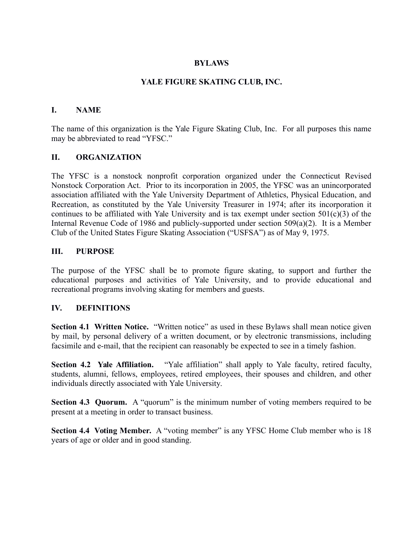#### **BYLAWS**

#### **YALE FIGURE SKATING CLUB, INC.**

#### **I. NAME**

The name of this organization is the Yale Figure Skating Club, Inc. For all purposes this name may be abbreviated to read "YFSC."

#### **II. ORGANIZATION**

The YFSC is a nonstock nonprofit corporation organized under the Connecticut Revised Nonstock Corporation Act. Prior to its incorporation in 2005, the YFSC was an unincorporated association affiliated with the Yale University Department of Athletics, Physical Education, and Recreation, as constituted by the Yale University Treasurer in 1974; after its incorporation it continues to be affiliated with Yale University and is tax exempt under section  $501(c)(3)$  of the Internal Revenue Code of 1986 and publicly-supported under section 509(a)(2). It is a Member Club of the United States Figure Skating Association ("USFSA") as of May 9, 1975.

#### **III. PURPOSE**

The purpose of the YFSC shall be to promote figure skating, to support and further the educational purposes and activities of Yale University, and to provide educational and recreational programs involving skating for members and guests.

#### **IV. DEFINITIONS**

**Section 4.1 Written Notice.** "Written notice" as used in these Bylaws shall mean notice given by mail, by personal delivery of a written document, or by electronic transmissions, including facsimile and e-mail, that the recipient can reasonably be expected to see in a timely fashion.

**Section 4.2 Yale Affiliation.** "Yale affiliation" shall apply to Yale faculty, retired faculty, students, alumni, fellows, employees, retired employees, their spouses and children, and other individuals directly associated with Yale University.

**Section 4.3 Quorum.** A "quorum" is the minimum number of voting members required to be present at a meeting in order to transact business.

**Section 4.4 Voting Member.** A "voting member" is any YFSC Home Club member who is 18 years of age or older and in good standing.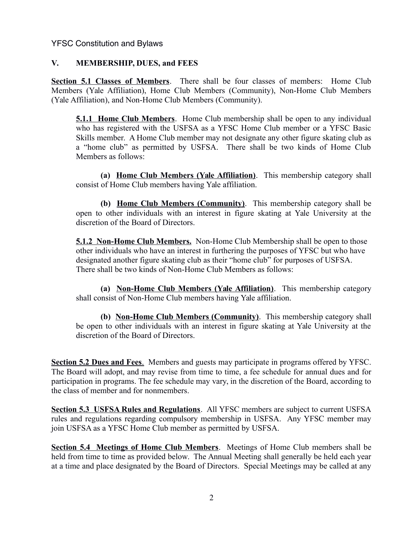### **V. MEMBERSHIP, DUES, and FEES**

**Section 5.1 Classes of Members**. There shall be four classes of members: Home Club Members (Yale Affiliation), Home Club Members (Community), Non-Home Club Members (Yale Affiliation), and Non-Home Club Members (Community).

**5.1.1 Home Club Members**. Home Club membership shall be open to any individual who has registered with the USFSA as a YFSC Home Club member or a YFSC Basic Skills member. A Home Club member may not designate any other figure skating club as a "home club" as permitted by USFSA. There shall be two kinds of Home Club Members as follows:

**(a) Home Club Members (Yale Affiliation)**. This membership category shall consist of Home Club members having Yale affiliation.

**(b) Home Club Members (Community)**. This membership category shall be open to other individuals with an interest in figure skating at Yale University at the discretion of the Board of Directors.

**5.1.2 Non-Home Club Members.** Non-Home Club Membership shall be open to those other individuals who have an interest in furthering the purposes of YFSC but who have designated another figure skating club as their "home club" for purposes of USFSA. There shall be two kinds of Non-Home Club Members as follows:

**(a) Non-Home Club Members (Yale Affiliation)**. This membership category shall consist of Non-Home Club members having Yale affiliation.

**(b) Non-Home Club Members (Community)**. This membership category shall be open to other individuals with an interest in figure skating at Yale University at the discretion of the Board of Directors.

**Section 5.2 Dues and Fees.** Members and guests may participate in programs offered by YFSC. The Board will adopt, and may revise from time to time, a fee schedule for annual dues and for participation in programs. The fee schedule may vary, in the discretion of the Board, according to the class of member and for nonmembers.

**Section 5.3 USFSA Rules and Regulations**. All YFSC members are subject to current USFSA rules and regulations regarding compulsory membership in USFSA. Any YFSC member may join USFSA as a YFSC Home Club member as permitted by USFSA.

**Section 5.4 Meetings of Home Club Members**. Meetings of Home Club members shall be held from time to time as provided below. The Annual Meeting shall generally be held each year at a time and place designated by the Board of Directors. Special Meetings may be called at any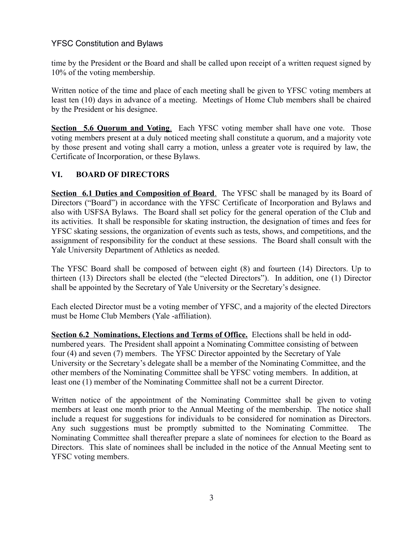time by the President or the Board and shall be called upon receipt of a written request signed by 10% of the voting membership.

Written notice of the time and place of each meeting shall be given to YFSC voting members at least ten (10) days in advance of a meeting. Meetings of Home Club members shall be chaired by the President or his designee.

 **Section 5.6 Quorum and Voting**. Each YFSC voting member shall have one vote. Those voting members present at a duly noticed meeting shall constitute a quorum, and a majority vote by those present and voting shall carry a motion, unless a greater vote is required by law, the Certificate of Incorporation, or these Bylaws.

# **VI. BOARD OF DIRECTORS**

**Section 6.1 Duties and Composition of Board.** The YFSC shall be managed by its Board of Directors ("Board") in accordance with the YFSC Certificate of Incorporation and Bylaws and also with USFSA Bylaws. The Board shall set policy for the general operation of the Club and its activities. It shall be responsible for skating instruction, the designation of times and fees for YFSC skating sessions, the organization of events such as tests, shows, and competitions, and the assignment of responsibility for the conduct at these sessions. The Board shall consult with the Yale University Department of Athletics as needed.

The YFSC Board shall be composed of between eight (8) and fourteen (14) Directors. Up to thirteen (13) Directors shall be elected (the "elected Directors"). In addition, one (1) Director shall be appointed by the Secretary of Yale University or the Secretary's designee.

Each elected Director must be a voting member of YFSC, and a majority of the elected Directors must be Home Club Members (Yale -affiliation).

**Section 6.2 Nominations, Elections and Terms of Office.** Elections shall be held in oddnumbered years. The President shall appoint a Nominating Committee consisting of between four (4) and seven (7) members. The YFSC Director appointed by the Secretary of Yale University or the Secretary's delegate shall be a member of the Nominating Committee, and the other members of the Nominating Committee shall be YFSC voting members. In addition, at least one (1) member of the Nominating Committee shall not be a current Director.

Written notice of the appointment of the Nominating Committee shall be given to voting members at least one month prior to the Annual Meeting of the membership. The notice shall include a request for suggestions for individuals to be considered for nomination as Directors. Any such suggestions must be promptly submitted to the Nominating Committee. The Nominating Committee shall thereafter prepare a slate of nominees for election to the Board as Directors. This slate of nominees shall be included in the notice of the Annual Meeting sent to YFSC voting members.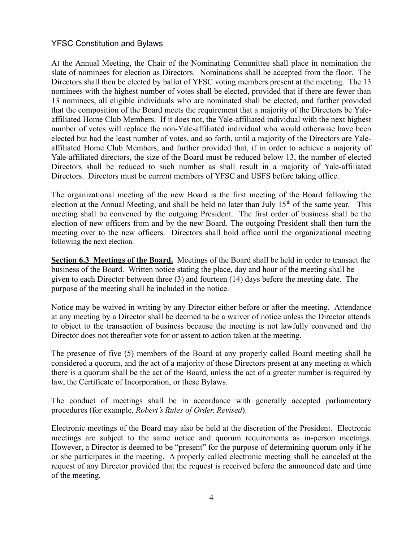At the Annual Meeting, the Chair of the Nominating Committee shall place in nomination the slate of nominees for election as Directors. Nominations shall be accepted from the floor. The Directors shall then be elected by ballot of YFSC voting members present at the meeting. The 13 nominees with the highest number of votes shall be elected, provided that if there are fewer than 13 nominees, all eligible individuals who are nominated shall be elected, and further provided that the composition of the Board meets the requirement that a majority of the Directors be Yaleaffiliated Home Club Members. If it does not, the Yale-affiliated individual with the next highest number of votes will replace the non-Yale-affiliated individual who would otherwise have been elected but had the least number of votes, and so forth, until a majority of the Directors are Yaleaffiliated Home Club Members, and further provided that, if in order to achieve a majority of Yale-affiliated directors, the size of the Board must be reduced below 13, the number of elected Directors shall be reduced to such number as shall result in a majority of Yale-affiliated Directors. Directors must be current members of YFSC and USFS before taking office.

The organizational meeting of the new Board is the first meeting of the Board following the election at the Annual Meeting, and shall be held no later than July  $15<sup>th</sup>$  of the same year. This meeting shall be convened by the outgoing President. The first order of business shall be the election of new officers from and by the new Board. The outgoing President shall then turn the meeting over to the new officers. Directors shall hold office until the organizational meeting following the next election.

**Section 6.3 Meetings of the Board.** Meetings of the Board shall be held in order to transact the business of the Board. Written notice stating the place, day and hour of the meeting shall be given to each Director between three (3) and fourteen (14) days before the meeting date. The purpose of the meeting shall be included in the notice.

Notice may be waived in writing by any Director either before or after the meeting. Attendance at any meeting by a Director shall be deemed to be a waiver of notice unless the Director attends to object to the transaction of business because the meeting is not lawfully convened and the Director does not thereafter vote for or assent to action taken at the meeting.

The presence of five (5) members of the Board at any properly called Board meeting shall be considered a quorum, and the act of a majority of those Directors present at any meeting at which there is a quorum shall be the act of the Board, unless the act of a greater number is required by law, the Certificate of Incorporation, or these Bylaws.

The conduct of meetings shall be in accordance with generally accepted parliamentary procedures (for example, *Robert's Rules of Order, Revised*).

Electronic meetings of the Board may also be held at the discretion of the President. Electronic meetings are subject to the same notice and quorum requirements as in-person meetings. However, a Director is deemed to be "present" for the purpose of determining quorum only if he or she participates in the meeting. A properly called electronic meeting shall be canceled at the request of any Director provided that the request is received before the announced date and time of the meeting.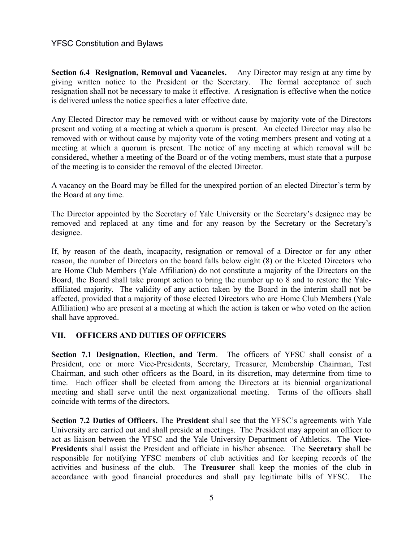**Section 6.4 Resignation, Removal and Vacancies.** Any Director may resign at any time by giving written notice to the President or the Secretary. The formal acceptance of such resignation shall not be necessary to make it effective. A resignation is effective when the notice is delivered unless the notice specifies a later effective date.

Any Elected Director may be removed with or without cause by majority vote of the Directors present and voting at a meeting at which a quorum is present. An elected Director may also be removed with or without cause by majority vote of the voting members present and voting at a meeting at which a quorum is present. The notice of any meeting at which removal will be considered, whether a meeting of the Board or of the voting members, must state that a purpose of the meeting is to consider the removal of the elected Director.

A vacancy on the Board may be filled for the unexpired portion of an elected Director's term by the Board at any time.

The Director appointed by the Secretary of Yale University or the Secretary's designee may be removed and replaced at any time and for any reason by the Secretary or the Secretary's designee.

If, by reason of the death, incapacity, resignation or removal of a Director or for any other reason, the number of Directors on the board falls below eight (8) or the Elected Directors who are Home Club Members (Yale Affiliation) do not constitute a majority of the Directors on the Board, the Board shall take prompt action to bring the number up to 8 and to restore the Yaleaffiliated majority. The validity of any action taken by the Board in the interim shall not be affected, provided that a majority of those elected Directors who are Home Club Members (Yale Affiliation) who are present at a meeting at which the action is taken or who voted on the action shall have approved.

#### **VII. OFFICERS AND DUTIES OF OFFICERS**

 **Section 7.1 Designation, Election, and Term**. The officers of YFSC shall consist of a President, one or more Vice-Presidents, Secretary, Treasurer, Membership Chairman, Test Chairman, and such other officers as the Board, in its discretion, may determine from time to time. Each officer shall be elected from among the Directors at its biennial organizational meeting and shall serve until the next organizational meeting. Terms of the officers shall coincide with terms of the directors.

**Section 7.2 Duties of Officers.** The **President** shall see that the YFSC's agreements with Yale University are carried out and shall preside at meetings. The President may appoint an officer to act as liaison between the YFSC and the Yale University Department of Athletics. The **Vice-Presidents** shall assist the President and officiate in his/her absence. The **Secretary** shall be responsible for notifying YFSC members of club activities and for keeping records of the activities and business of the club. The **Treasurer** shall keep the monies of the club in accordance with good financial procedures and shall pay legitimate bills of YFSC. The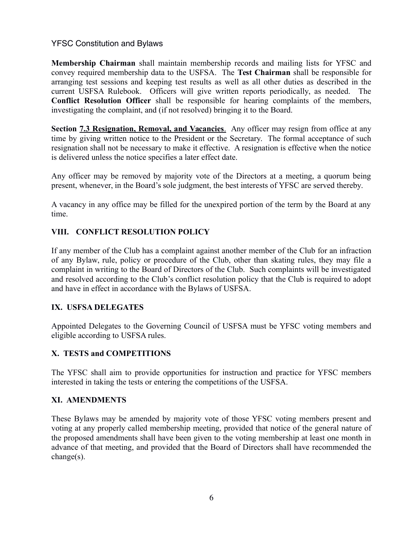**Membership Chairman** shall maintain membership records and mailing lists for YFSC and convey required membership data to the USFSA. The **Test Chairman** shall be responsible for arranging test sessions and keeping test results as well as all other duties as described in the current USFSA Rulebook. Officers will give written reports periodically, as needed. The **Conflict Resolution Officer** shall be responsible for hearing complaints of the members, investigating the complaint, and (if not resolved) bringing it to the Board.

**Section 7.3 Resignation, Removal, and Vacancies**. Any officer may resign from office at any time by giving written notice to the President or the Secretary. The formal acceptance of such resignation shall not be necessary to make it effective. A resignation is effective when the notice is delivered unless the notice specifies a later effect date.

Any officer may be removed by majority vote of the Directors at a meeting, a quorum being present, whenever, in the Board's sole judgment, the best interests of YFSC are served thereby.

A vacancy in any office may be filled for the unexpired portion of the term by the Board at any time.

## **VIII. CONFLICT RESOLUTION POLICY**

If any member of the Club has a complaint against another member of the Club for an infraction of any Bylaw, rule, policy or procedure of the Club, other than skating rules, they may file a complaint in writing to the Board of Directors of the Club. Such complaints will be investigated and resolved according to the Club's conflict resolution policy that the Club is required to adopt and have in effect in accordance with the Bylaws of USFSA.

## **IX. USFSA DELEGATES**

Appointed Delegates to the Governing Council of USFSA must be YFSC voting members and eligible according to USFSA rules.

## **X. TESTS and COMPETITIONS**

The YFSC shall aim to provide opportunities for instruction and practice for YFSC members interested in taking the tests or entering the competitions of the USFSA.

## **XI. AMENDMENTS**

These Bylaws may be amended by majority vote of those YFSC voting members present and voting at any properly called membership meeting, provided that notice of the general nature of the proposed amendments shall have been given to the voting membership at least one month in advance of that meeting, and provided that the Board of Directors shall have recommended the change(s).